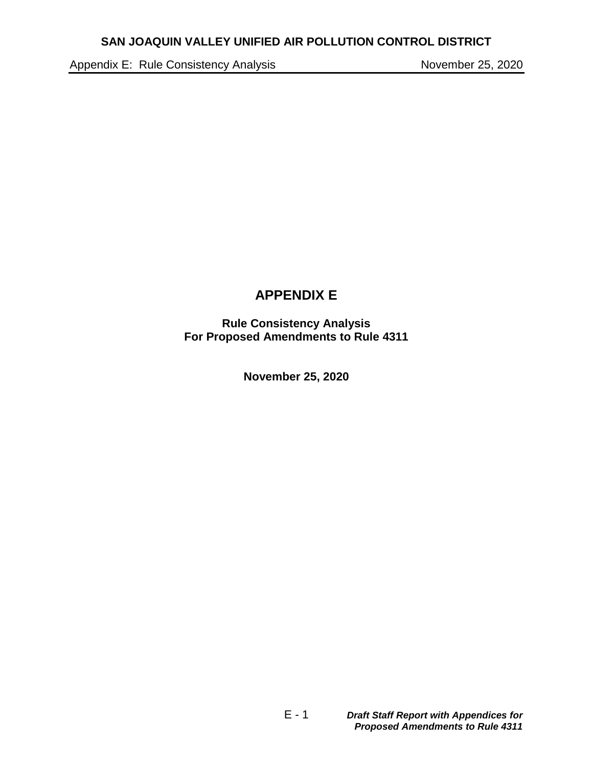Appendix E: Rule Consistency Analysis November 25, 2020

# **APPENDIX E**

**Rule Consistency Analysis For Proposed Amendments to Rule 4311**

**November 25, 2020**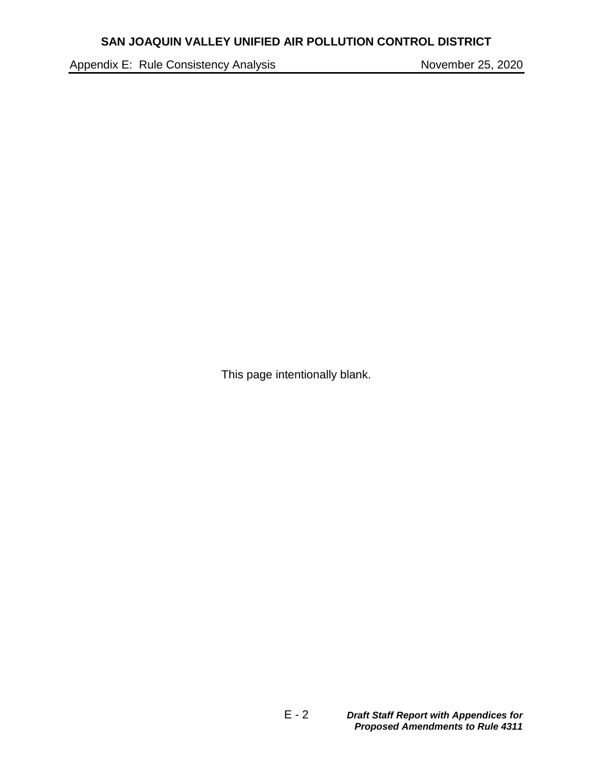Appendix E: Rule Consistency Analysis November 25, 2020

This page intentionally blank.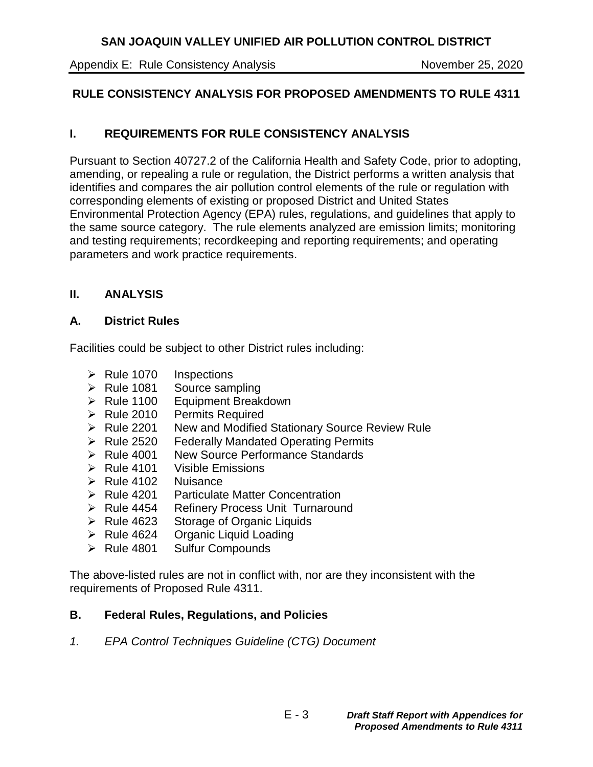Appendix E: Rule Consistency Analysis November 25, 2020

# **RULE CONSISTENCY ANALYSIS FOR PROPOSED AMENDMENTS TO RULE 4311**

# **I. REQUIREMENTS FOR RULE CONSISTENCY ANALYSIS**

Pursuant to Section 40727.2 of the California Health and Safety Code, prior to adopting, amending, or repealing a rule or regulation, the District performs a written analysis that identifies and compares the air pollution control elements of the rule or regulation with corresponding elements of existing or proposed District and United States Environmental Protection Agency (EPA) rules, regulations, and guidelines that apply to the same source category. The rule elements analyzed are emission limits; monitoring and testing requirements; recordkeeping and reporting requirements; and operating parameters and work practice requirements.

## **II. ANALYSIS**

### **A. District Rules**

Facilities could be subject to other District rules including:

- $\triangleright$  Rule 1070 Inspections
- $\triangleright$  Rule 1081 Source sampling
- ▶ Rule 1100 Equipment Breakdown
- ▶ Rule 2010 Permits Required
- ▶ Rule 2201 New and Modified Stationary Source Review Rule
- $\triangleright$  Rule 2520 Federally Mandated Operating Permits
- ▶ Rule 4001 New Source Performance Standards
- $\triangleright$  Rule 4101 Visible Emissions
- $\triangleright$  Rule 4102 Nuisance
- $\triangleright$  Rule 4201 Particulate Matter Concentration
- ▶ Rule 4454 Refinery Process Unit Turnaround
- $\triangleright$  Rule 4623 Storage of Organic Liquids
- $\triangleright$  Rule 4624 Organic Liquid Loading
- $\triangleright$  Rule 4801 Sulfur Compounds

The above-listed rules are not in conflict with, nor are they inconsistent with the requirements of Proposed Rule 4311.

## **B. Federal Rules, Regulations, and Policies**

*1. EPA Control Techniques Guideline (CTG) Document*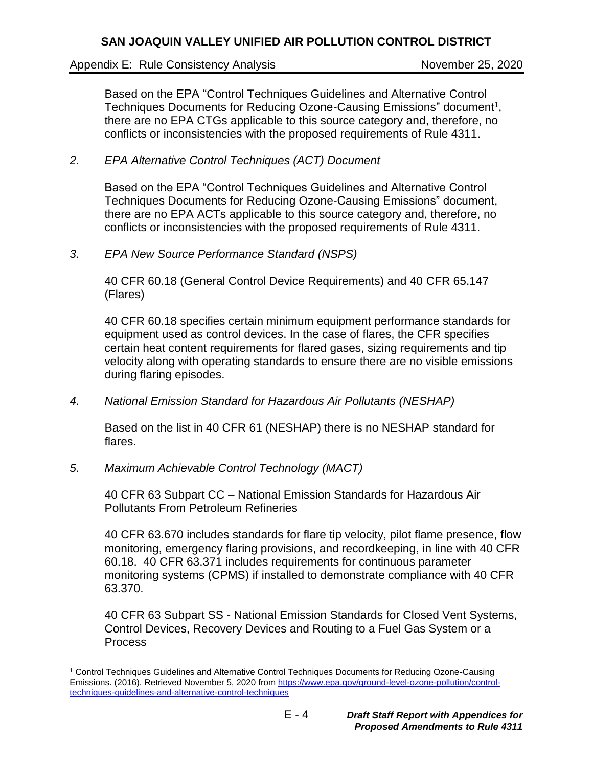### Appendix E: Rule Consistency Analysis November 25, 2020

Based on the EPA "Control Techniques Guidelines and Alternative Control Techniques Documents for Reducing Ozone-Causing Emissions" document<sup>1</sup>, there are no EPA CTGs applicable to this source category and, therefore, no conflicts or inconsistencies with the proposed requirements of Rule 4311.

## *2. EPA Alternative Control Techniques (ACT) Document*

Based on the EPA "Control Techniques Guidelines and Alternative Control Techniques Documents for Reducing Ozone-Causing Emissions" document, there are no EPA ACTs applicable to this source category and, therefore, no conflicts or inconsistencies with the proposed requirements of Rule 4311.

*3. EPA New Source Performance Standard (NSPS)*

40 CFR 60.18 (General Control Device Requirements) and 40 CFR 65.147 (Flares)

40 CFR 60.18 specifies certain minimum equipment performance standards for equipment used as control devices. In the case of flares, the CFR specifies certain heat content requirements for flared gases, sizing requirements and tip velocity along with operating standards to ensure there are no visible emissions during flaring episodes.

*4. National Emission Standard for Hazardous Air Pollutants (NESHAP)*

Based on the list in 40 CFR 61 (NESHAP) there is no NESHAP standard for flares.

*5. Maximum Achievable Control Technology (MACT)*

 $\overline{a}$ 

40 CFR 63 Subpart CC – National Emission Standards for Hazardous Air Pollutants From Petroleum Refineries

40 CFR 63.670 includes standards for flare tip velocity, pilot flame presence, flow monitoring, emergency flaring provisions, and recordkeeping, in line with 40 CFR 60.18. 40 CFR 63.371 includes requirements for continuous parameter monitoring systems (CPMS) if installed to demonstrate compliance with 40 CFR 63.370.

40 CFR 63 Subpart SS - National Emission Standards for Closed Vent Systems, Control Devices, Recovery Devices and Routing to a Fuel Gas System or a Process

<sup>1</sup> Control Techniques Guidelines and Alternative Control Techniques Documents for Reducing Ozone-Causing Emissions. (2016). Retrieved November 5, 2020 from [https://www.epa.gov/ground-level-ozone-pollution/control](https://www.epa.gov/ground-level-ozone-pollution/control-techniques-guidelines-and-alternative-control-techniques)[techniques-guidelines-and-alternative-control-techniques](https://www.epa.gov/ground-level-ozone-pollution/control-techniques-guidelines-and-alternative-control-techniques)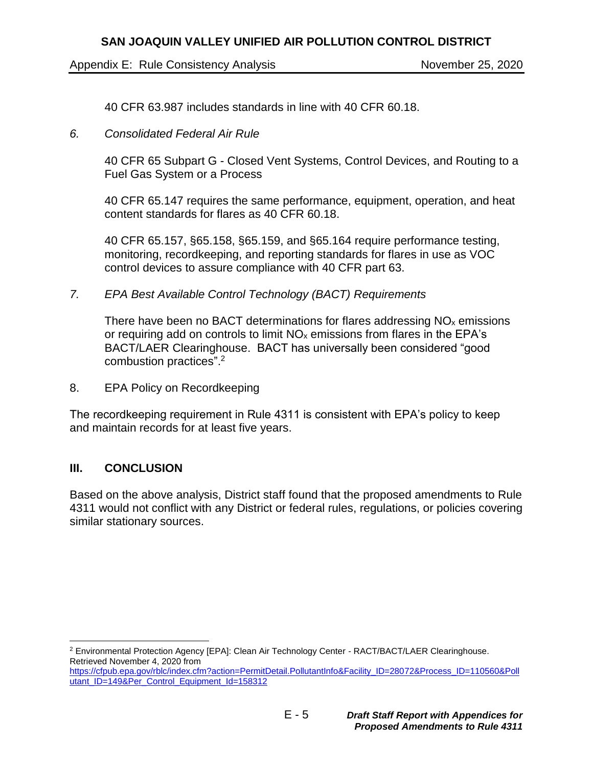#### Appendix E: Rule Consistency Analysis November 25, 2020

40 CFR 63.987 includes standards in line with 40 CFR 60.18.

#### *6. Consolidated Federal Air Rule*

40 CFR 65 Subpart G - Closed Vent Systems, Control Devices, and Routing to a Fuel Gas System or a Process

40 CFR 65.147 requires the same performance, equipment, operation, and heat content standards for flares as 40 CFR 60.18.

40 CFR 65.157, §65.158, §65.159, and §65.164 require performance testing, monitoring, recordkeeping, and reporting standards for flares in use as VOC control devices to assure compliance with 40 CFR part 63.

#### *7. EPA Best Available Control Technology (BACT) Requirements*

There have been no BACT determinations for flares addressing  $NO<sub>x</sub>$  emissions or requiring add on controls to limit  $NO<sub>x</sub>$  emissions from flares in the EPA's BACT/LAER Clearinghouse. BACT has universally been considered "good combustion practices".<sup>2</sup>

8. EPA Policy on Recordkeeping

The recordkeeping requirement in Rule 4311 is consistent with EPA's policy to keep and maintain records for at least five years.

#### **III. CONCLUSION**

Based on the above analysis, District staff found that the proposed amendments to Rule 4311 would not conflict with any District or federal rules, regulations, or policies covering similar stationary sources.

 $\overline{a}$ <sup>2</sup> Environmental Protection Agency [EPA]: Clean Air Technology Center - RACT/BACT/LAER Clearinghouse. Retrieved November 4, 2020 from

[https://cfpub.epa.gov/rblc/index.cfm?action=PermitDetail.PollutantInfo&Facility\\_ID=28072&Process\\_ID=110560&Poll](https://cfpub.epa.gov/rblc/index.cfm?action=PermitDetail.PollutantInfo&Facility_ID=28072&Process_ID=110560&Pollutant_ID=149&Per_Control_Equipment_Id=158312) [utant\\_ID=149&Per\\_Control\\_Equipment\\_Id=158312](https://cfpub.epa.gov/rblc/index.cfm?action=PermitDetail.PollutantInfo&Facility_ID=28072&Process_ID=110560&Pollutant_ID=149&Per_Control_Equipment_Id=158312)